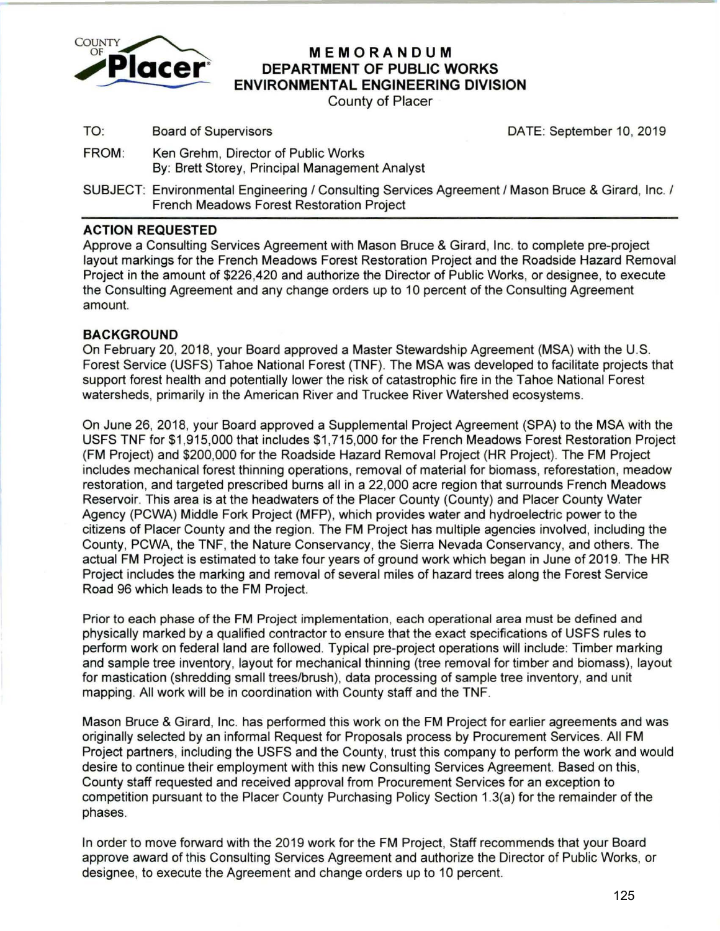

# **MEMORANDUM DEPARTMENT OF PUBLIC WORKS ENVIRONMENTAL ENGINEERING DIVISION**

County of Placer

TO: Board of Supervisors **DATE:** September 10, 2019

- FROM: Ken Grehm, Director of Public Works By: Brett Storey, Principal Management Analyst
- SUBJECT: Environmental Engineering / Consulting Services Agreement / Mason Bruce & Girard, Inc. / French Meadows Forest Restoration Project

## **ACTION REQUESTED**

Approve a Consulting Services Agreement with Mason Bruce & Girard, Inc. to complete pre-project layout markings for the French Meadows Forest Restoration Project and the Roadside Hazard Removal Project in the amount of \$226,420 and authorize the Director of Public Works, or designee, to execute the Consulting Agreement and any change orders up to 1 0 percent of the Consulting Agreement amount.

### **BACKGROUND**

On February 20, 2018, your Board approved a Master Stewardship Agreement (MSA) with the U.S. Forest Service (USFS) Tahoe National Forest (TNF). The MSA was developed to facilitate projects that support forest health and potentially lower the risk of catastrophic fire in the Tahoe National Forest watersheds, primarily in the American River and Truckee River Watershed ecosystems.

On June 26, 2018, your Board approved a Supplemental Project Agreement (SPA) to the MSA with the USFS TNF for \$1 ,915,000 that includes \$1 ,715,000 for the French Meadows Forest Restoration Project (FM Project) and \$200,000 for the Roadside Hazard Removal Project (HR Project). The FM Project includes mechanical forest thinning operations, removal of material for biomass, reforestation , meadow restoration, and targeted prescribed burns all in a 22,000 acre region that surrounds French Meadows Reservoir. This area is at the headwaters of the Placer County (County) and Placer County Water Agency (PCWA) Middle Fork Project (MFP), which provides water and hydroelectric power to the citizens of Placer County and the region. The FM Project has multiple agencies involved, including the County, PCWA, the TNF, the Nature Conservancy, the Sierra Nevada Conservancy, and others. The actual FM Project is estimated to take four years of ground work which began in June of 2019. The HR Project includes the marking and removal of several miles of hazard trees along the Forest Service Road 96 which leads to the FM Project.

Prior to each phase of the FM Project implementation, each operational area must be defined and physically marked by a qualified contractor to ensure that the exact specifications of USFS rules to perform work on federal land are followed. Typical pre-project operations will include: Timber marking and sample tree inventory, layout for mechanical thinning (tree removal for timber and biomass), layout for mastication (shredding small trees/brush), data processing of sample tree inventory, and unit mapping. All work will be in coordination with County staff and the TNF.

Mason Bruce & Girard, Inc. has performed this work on the FM Project for earlier agreements and was originally selected by an informal Request for Proposals process by Procurement Services. All FM Project partners, including the USFS and the County, trust this company to perform the work and would desire to continue their employment with this new Consulting Services Agreement. Based on this, County staff requested and received approval from Procurement Services for an exception to competition pursuant to the Placer County Purchasing Policy Section 1.3(a) for the remainder of the phases.

In order to move forward with the 2019 work for the FM Project, Staff recommends that your Board approve award of this Consulting Services Agreement and authorize the Director of Public Works, or designee, to execute the Agreement and change orders up to 10 percent.